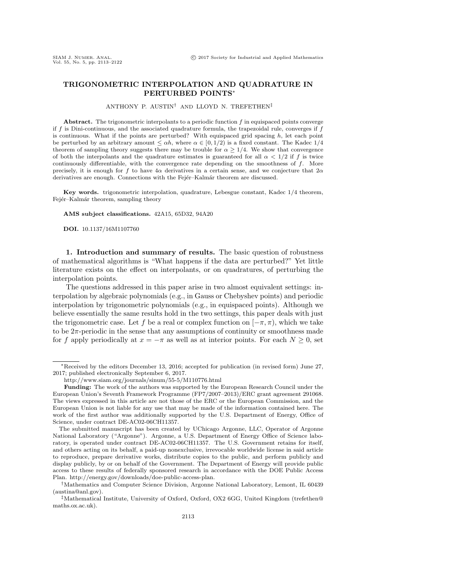## <span id="page-0-1"></span>TRIGONOMETRIC INTERPOLATION AND QUADRATURE IN PERTURBED POINTS<sup>∗</sup>

ANTHONY P. AUSTIN† AND LLOYD N. TREFETHEN‡

Abstract. The trigonometric interpolants to a periodic function f in equispaced points converge if  $f$  is Dini-continuous, and the associated quadrature formula, the trapezoidal rule, converges if  $f$ is continuous. What if the points are perturbed? With equispaced grid spacing  $h$ , let each point be perturbed by an arbitrary amount  $\leq \alpha h$ , where  $\alpha \in [0, 1/2)$  is a fixed constant. The Kadec 1/4 theorem of sampling theory suggests there may be trouble for  $\alpha \geq 1/4$ . We show that convergence of both the interpolants and the quadrature estimates is guaranteed for all  $\alpha < 1/2$  if f is twice continuously differentiable, with the convergence rate depending on the smoothness of  $f$ . More precisely, it is enough for f to have  $4\alpha$  derivatives in a certain sense, and we conjecture that  $2\alpha$ derivatives are enough. Connections with the Fejér–Kalmár theorem are discussed.

Key words. trigonometric interpolation, quadrature, Lebesgue constant, Kadec 1/4 theorem, Fejér–Kalmár theorem, sampling theory

AMS subject classifications. 42A15, 65D32, 94A20

DOI. 10.1137/16M1107760

<span id="page-0-0"></span>1. Introduction and summary of results. The basic question of robustness of mathematical algorithms is "What happens if the data are perturbed?" Yet little literature exists on the effect on interpolants, or on quadratures, of perturbing the interpolation points.

The questions addressed in this paper arise in two almost equivalent settings: interpolation by algebraic polynomials (e.g., in Gauss or Chebyshev points) and periodic interpolation by trigonometric polynomials (e.g., in equispaced points). Although we believe essentially the same results hold in the two settings, this paper deals with just the trigonometric case. Let f be a real or complex function on  $[-\pi, \pi)$ , which we take to be  $2\pi$ -periodic in the sense that any assumptions of continuity or smoothness made for f apply periodically at  $x = -\pi$  as well as at interior points. For each  $N \geq 0$ , set

<sup>∗</sup>Received by the editors December 13, 2016; accepted for publication (in revised form) June 27, 2017; published electronically September 6, 2017.

<http://www.siam.org/journals/sinum/55-5/M110776.html>

Funding: The work of the authors was supported by the European Research Council under the European Union's Seventh Framework Programme (FP7/2007–2013)/ERC grant agreement 291068. The views expressed in this article are not those of the ERC or the European Commission, and the European Union is not liable for any use that may be made of the information contained here. The work of the first author was additionally supported by the U.S. Department of Energy, Office of Science, under contract DE-AC02-06CH11357.

The submitted manuscript has been created by UChicago Argonne, LLC, Operator of Argonne National Laboratory ("Argonne"). Argonne, a U.S. Department of Energy Office of Science laboratory, is operated under contract DE-AC02-06CH11357. The U.S. Government retains for itself, and others acting on its behalf, a paid-up nonexclusive, irrevocable worldwide license in said article to reproduce, prepare derivative works, distribute copies to the public, and perform publicly and display publicly, by or on behalf of the Government. The Department of Energy will provide public access to these results of federally sponsored research in accordance with the DOE Public Access Plan. [http://energy.gov/downloads/doe-public-access-plan.](http://energy.gov/downloads/doe-public-access-plan)

<sup>†</sup>Mathematics and Computer Science Division, Argonne National Laboratory, Lemont, IL 60439 [\(austina@anl.gov\)](mailto:austina@anl.gov).

<sup>‡</sup>Mathematical Institute, University of Oxford, Oxford, OX2 6GG, United Kingdom [\(trefethen@](mailto:trefethen@maths.ox.ac.uk) [maths.ox.ac.uk\)](mailto:trefethen@maths.ox.ac.uk).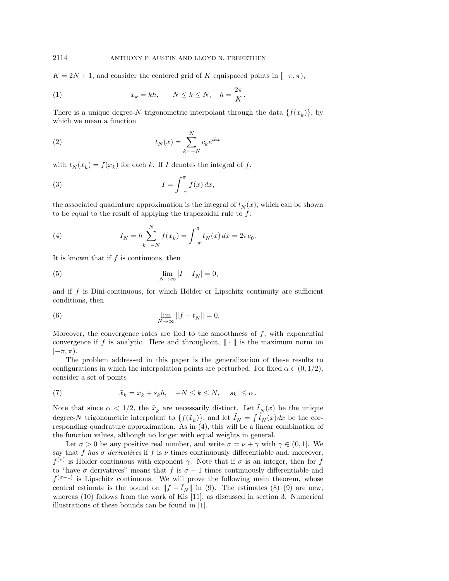$K = 2N + 1$ , and consider the centered grid of K equispaced points in  $[-\pi, \pi)$ ,

(1) 
$$
x_k = kh, \quad -N \le k \le N, \quad h = \frac{2\pi}{K}.
$$

There is a unique degree-N trigonometric interpolant through the data  $\{f(x_k)\}\,$  by which we mean a function

(2) 
$$
t_N(x) = \sum_{k=-N}^{N} c_k e^{ikx}
$$

with  $t_N(x_k) = f(x_k)$  for each k. If I denotes the integral of f,

(3) 
$$
I = \int_{-\pi}^{\pi} f(x) dx,
$$

the associated quadrature approximation is the integral of  $t<sub>N</sub>(x)$ , which can be shown to be equal to the result of applying the trapezoidal rule to  $f$ :

<span id="page-1-0"></span>(4) 
$$
I_N = h \sum_{k=-N}^{N} f(x_k) = \int_{-\pi}^{\pi} t_N(x) dx = 2\pi c_0.
$$

It is known that if  $f$  is continuous, then

(5) 
$$
\lim_{N \to \infty} |I - I_N| = 0,
$$

and if  $f$  is Dini-continuous, for which Hölder or Lipschitz continuity are sufficient conditions, then

(6) 
$$
\lim_{N \to \infty} ||f - t_N|| = 0.
$$

Moreover, the convergence rates are tied to the smoothness of  $f$ , with exponential convergence if f is analytic. Here and throughout,  $\|\cdot\|$  is the maximum norm on  $[-\pi, \pi).$ 

The problem addressed in this paper is the generalization of these results to configurations in which the interpolation points are perturbed. For fixed  $\alpha \in (0, 1/2)$ , consider a set of points

<span id="page-1-2"></span>
$$
(7) \hspace{3.1em} \tilde{x}_k = x_k + s_k h, \hspace{0.4em} -N \leq k \leq N, \hspace{0.4em} |s_k| \leq \alpha \, .
$$

Note that since  $\alpha < 1/2$ , the  $\tilde{x}_k$  are necessarily distinct. Let  $\tilde{t}_N(x)$  be the unique degree-N trigonometric interpolant to  $\{f(\tilde{x}_k)\}\$ , and let  $\tilde{I}_N = \int \tilde{t}_N(x)dx$  be the corresponding quadrature approximation. As in [\(4\)](#page-1-0), this will be a linear combination of the function values, although no longer with equal weights in general.

<span id="page-1-1"></span>Let  $\sigma > 0$  be any positive real number, and write  $\sigma = \nu + \gamma$  with  $\gamma \in (0, 1]$ . We say that f has  $\sigma$  derivatives if f is  $\nu$  times continuously differentiable and, moreover,  $f^{(\nu)}$  is Hölder continuous with exponent  $\gamma$ . Note that if  $\sigma$  is an integer, then for f to "have  $\sigma$  derivatives" means that f is  $\sigma - 1$  times continuously differentiable and  $f^{(\sigma-1)}$  is Lipschitz continuous. We will prove the following main theorem, whose central estimate is the bound on  $||f - \tilde{t}_N||$  in [\(9\)](#page-2-0). The estimates [\(8\)](#page-2-1)–(9) are new, whereas [\(10\)](#page-2-2) follows from the work of Kis [\[11\]](#page-9-0), as discussed in section [3.](#page-4-0) Numerical illustrations of these bounds can be found in [\[1\]](#page-8-0).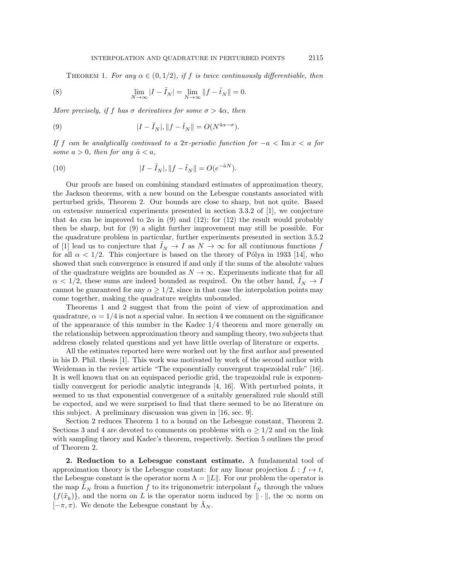<span id="page-2-1"></span>THEOREM 1. For any  $\alpha \in (0,1/2)$ , if f is twice continuously differentiable, then

(8) 
$$
\lim_{N \to \infty} |I - \tilde{I}_N| = \lim_{N \to \infty} ||f - \tilde{t}_N|| = 0.
$$

More precisely, if f has  $\sigma$  derivatives for some  $\sigma > 4\alpha$ , then

<span id="page-2-0"></span>(9) 
$$
|I - \tilde{I}_N|, \|f - \tilde{t}_N\| = O(N^{4\alpha - \sigma}).
$$

If f can be analytically continued to a  $2\pi$ -periodic function for  $-a < \text{Im } x < a$  for some  $a > 0$ , then for any  $\hat{a} < a$ ,

<span id="page-2-2"></span>(10) 
$$
|I - \tilde{I}_N|, \|f - \tilde{t}_N\| = O(e^{-\hat{a}N}).
$$

Our proofs are based on combining standard estimates of approximation theory, the Jackson theorems, with a new bound on the Lebesgue constants associated with perturbed grids, Theorem [2.](#page-3-0) Our bounds are close to sharp, but not quite. Based on extensive numerical experiments presented in section 3.3.2 of [\[1\]](#page-8-0), we conjecture that  $4\alpha$  can be improved to  $2\alpha$  in [\(9\)](#page-2-0) and [\(12\)](#page-3-1); for (12) the result would probably then be sharp, but for [\(9\)](#page-2-0) a slight further improvement may still be possible. For the quadrature problem in particular, further experiments presented in section 3.5.2 of [\[1\]](#page-8-0) lead us to conjecture that  $I_N \to I$  as  $N \to \infty$  for all continuous functions f for all  $\alpha < 1/2$ . This conjecture is based on the theory of Pólya in 1933 [\[14\]](#page-9-1), who showed that such convergence is ensured if and only if the sums of the absolute values of the quadrature weights are bounded as  $N \to \infty$ . Experiments indicate that for all  $\alpha$  < 1/2, these sums are indeed bounded as required. On the other hand,  $I_N \to I$ cannot be guaranteed for any  $\alpha \geq 1/2$ , since in that case the interpolation points may come together, making the quadrature weights unbounded.

Theorems [1](#page-1-1) and [2](#page-3-0) suggest that from the point of view of approximation and quadrature,  $\alpha = 1/4$  is not a special value. In section [4](#page-5-0) we comment on the significance of the appearance of this number in the Kadec 1/4 theorem and more generally on the relationship between approximation theory and sampling theory, two subjects that address closely related questions and yet have little overlap of literature or experts.

All the estimates reported here were worked out by the first author and presented in his D. Phil. thesis [\[1\]](#page-8-0). This work was motivated by work of the second author with Weideman in the review article "The exponentially convergent trapezoidal rule" [\[16\]](#page-9-2). It is well known that on an equispaced periodic grid, the trapezoidal rule is exponentially convergent for periodic analytic integrands [\[4,](#page-8-1) [16\]](#page-9-2). With perturbed points, it seemed to us that exponential convergence of a suitably generalized rule should still be expected, and we were surprised to find that there seemed to be no literature on this subject. A preliminary discussion was given in [\[16,](#page-9-2) sec. 9].

Section [2](#page-2-3) reduces Theorem [1](#page-1-1) to a bound on the Lebesgue constant, Theorem [2.](#page-3-0) Sections [3](#page-4-0) and [4](#page-5-0) are devoted to comments on problems with  $\alpha \geq 1/2$  and on the link with sampling theory and Kadec's theorem, respectively. Section [5](#page-6-0) outlines the proof of Theorem [2.](#page-3-0)

<span id="page-2-3"></span>2. Reduction to a Lebesgue constant estimate. A fundamental tool of approximation theory is the Lebesgue constant: for any linear projection  $L : f \mapsto t$ , the Lebesgue constant is the operator norm  $\Lambda = ||L||$ . For our problem the operator is the map  $\tilde{L}_N$  from a function  $\tilde{f}$  to its trigonometric interpolant  $\tilde{t}_N$  through the values  ${f(\tilde{x}_k)}$ , and the norm on L is the operator norm induced by  $\|\cdot\|$ , the  $\infty$  norm on  $[-\pi, \pi)$ . We denote the Lebesgue constant by  $\Lambda_N$ .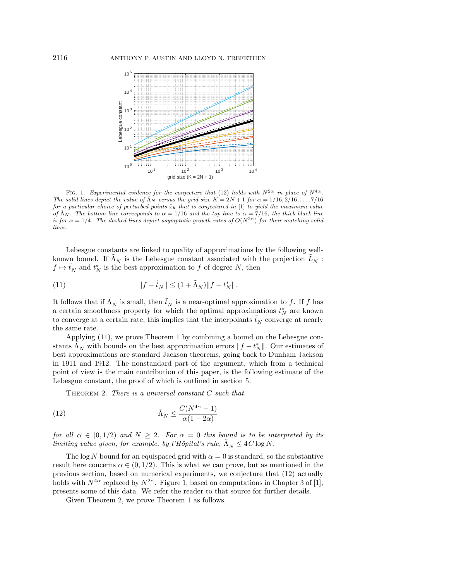<span id="page-3-3"></span>

FIG. 1. Experimental evidence for the conjecture that [\(12\)](#page-3-1) holds with  $N^{2\alpha}$  in place of  $N^{4\alpha}$ . The solid lines depict the value of  $\tilde{\Lambda}_N$  versus the grid size  $K = 2N + 1$  for  $\alpha = 1/16, 2/16, \ldots, 7/16$ for a particular choice of perturbed points  $\tilde{x}_k$  that is conjectured in [\[1\]](#page-8-0) to yield the maximum value of  $\tilde{\Lambda}_N$ . The bottom line corresponds to  $\alpha = 1/16$  and the top line to  $\alpha = 7/16$ ; the thick black line is for  $\alpha = 1/4$ . The dashed lines depict asymptotic growth rates of  $O(N^{2\alpha})$  for their matching solid lines.

Lebesgue constants are linked to quality of approximations by the following wellknown bound. If  $\tilde{\Lambda}_N$  is the Lebesgue constant associated with the projection  $\tilde{L}_N$ :  $f \mapsto \tilde{t}_N$  and  $t_N^*$  is the best approximation to f of degree N, then

<span id="page-3-2"></span>(11) 
$$
||f - \tilde{t}_N|| \le (1 + \tilde{\Lambda}_N) ||f - t_N^*||.
$$

It follows that if  $\tilde{\Lambda}_N$  is small, then  $\tilde{t}_N$  is a near-optimal approximation to f. If f has a certain smoothness property for which the optimal approximations  $t_N^*$  are known to converge at a certain rate, this implies that the interpolants  $\tilde{t}_N$  converge at nearly the same rate.

Applying [\(11\)](#page-3-2), we prove Theorem [1](#page-1-1) by combining a bound on the Lebesgue constants  $\tilde{\Lambda}_N$  with bounds on the best approximation errors  $||f - t_N^*||$ . Our estimates of best approximations are standard Jackson theorems, going back to Dunham Jackson in 1911 and 1912. The nonstandard part of the argument, which from a technical point of view is the main contribution of this paper, is the following estimate of the Lebesgue constant, the proof of which is outlined in section [5.](#page-6-0)

<span id="page-3-1"></span><span id="page-3-0"></span>THEOREM 2. There is a universal constant  $C$  such that

(12) 
$$
\tilde{\Lambda}_N \le \frac{C(N^{4\alpha} - 1)}{\alpha(1 - 2\alpha)}
$$

for all  $\alpha \in [0, 1/2)$  and  $N \geq 2$ . For  $\alpha = 0$  this bound is to be interpreted by its limiting value given, for example, by l'Hôpital's rule,  $\tilde{\Lambda}_N \leq 4 C \log N$ .

The log N bound for an equispaced grid with  $\alpha = 0$  is standard, so the substantive result here concerns  $\alpha \in (0, 1/2)$ . This is what we can prove, but as mentioned in the previous section, based on numerical experiments, we conjecture that [\(12\)](#page-3-1) actually holds with  $N^{4\alpha}$  replaced by  $N^{2\alpha}$ . Figure [1,](#page-3-3) based on computations in Chapter 3 of [\[1\]](#page-8-0), presents some of this data. We refer the reader to that source for further details.

Given Theorem [2,](#page-3-0) we prove Theorem [1](#page-1-1) as follows.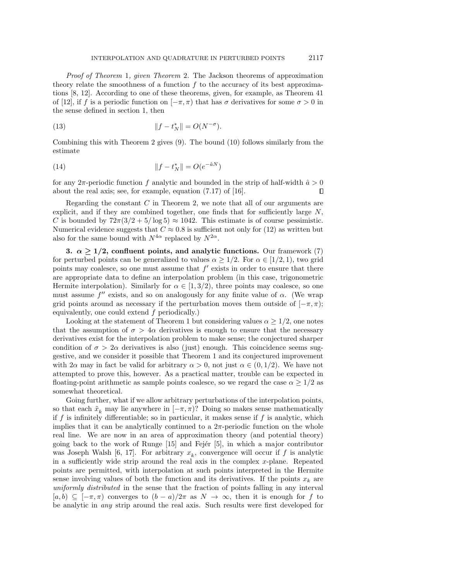Proof of Theorem [1](#page-1-1), given Theorem [2](#page-3-0). The Jackson theorems of approximation theory relate the smoothness of a function  $f$  to the accuracy of its best approximations [\[8,](#page-8-2) [12\]](#page-9-3). According to one of these theorems, given, for example, as Theorem 41 of [\[12\]](#page-9-3), if f is a periodic function on  $[-\pi,\pi)$  that has  $\sigma$  derivatives for some  $\sigma > 0$  in the sense defined in section [1,](#page-0-0) then

(13) 
$$
||f - t_N^*|| = O(N^{-\sigma}).
$$

Combining this with Theorem [2](#page-3-0) gives [\(9\)](#page-2-0). The bound [\(10\)](#page-2-2) follows similarly from the estimate

(14) 
$$
||f - t_N^*|| = O(e^{-\hat{a}N})
$$

for any  $2\pi$ -periodic function f analytic and bounded in the strip of half-width  $\hat{a} > 0$ about the real axis; see, for example, equation (7.17) of [\[16\]](#page-9-2). П

Regarding the constant  $C$  in Theorem [2,](#page-3-0) we note that all of our arguments are explicit, and if they are combined together, one finds that for sufficiently large  $N$ , C is bounded by  $72\pi(3/2+5/\log 5) \approx 1042$ . This estimate is of course pessimistic. Numerical evidence suggests that  $C \approx 0.8$  is sufficient not only for [\(12\)](#page-3-1) as written but also for the same bound with  $N^{4\alpha}$  replaced by  $N^{2\alpha}$ .

<span id="page-4-0"></span>3.  $\alpha \geq 1/2$ , confluent points, and analytic functions. Our framework [\(7\)](#page-1-2) for perturbed points can be generalized to values  $\alpha \geq 1/2$ . For  $\alpha \in [1/2, 1)$ , two grid points may coalesce, so one must assume that  $f'$  exists in order to ensure that there are appropriate data to define an interpolation problem (in this case, trigonometric Hermite interpolation). Similarly for  $\alpha \in [1, 3/2)$ , three points may coalesce, so one must assume  $f''$  exists, and so on analogously for any finite value of  $\alpha$ . (We wrap grid points around as necessary if the perturbation moves them outside of  $[-\pi, \pi]$ ; equivalently, one could extend  $f$  periodically.)

Looking at the statement of Theorem [1](#page-1-1) but considering values  $\alpha \geq 1/2$ , one notes that the assumption of  $\sigma > 4\alpha$  derivatives is enough to ensure that the necessary derivatives exist for the interpolation problem to make sense; the conjectured sharper condition of  $\sigma > 2\alpha$  derivatives is also (just) enough. This coincidence seems suggestive, and we consider it possible that Theorem [1](#page-1-1) and its conjectured improvement with  $2\alpha$  may in fact be valid for arbitrary  $\alpha > 0$ , not just  $\alpha \in (0, 1/2)$ . We have not attempted to prove this, however. As a practical matter, trouble can be expected in floating-point arithmetic as sample points coalesce, so we regard the case  $\alpha \geq 1/2$  as somewhat theoretical.

Going further, what if we allow arbitrary perturbations of the interpolation points, so that each  $\tilde{x}_k$  may lie anywhere in  $[-\pi, \pi)$ ? Doing so makes sense mathematically if f is infinitely differentiable; so in particular, it makes sense if f is analytic, which implies that it can be analytically continued to a  $2\pi$ -periodic function on the whole real line. We are now in an area of approximation theory (and potential theory) going back to the work of Runge  $[15]$  and Fejér  $[5]$ , in which a major contributor was Joseph Walsh [\[6,](#page-8-4) [17\]](#page-9-5). For arbitrary  $x_k$ , convergence will occur if f is analytic in a sufficiently wide strip around the real axis in the complex  $x$ -plane. Repeated points are permitted, with interpolation at such points interpreted in the Hermite sense involving values of both the function and its derivatives. If the points  $x_k$  are uniformly distributed in the sense that the fraction of points falling in any interval  $[a, b] \subseteq [-\pi, \pi]$  converges to  $(b - a)/2\pi$  as  $N \to \infty$ , then it is enough for f to be analytic in any strip around the real axis. Such results were first developed for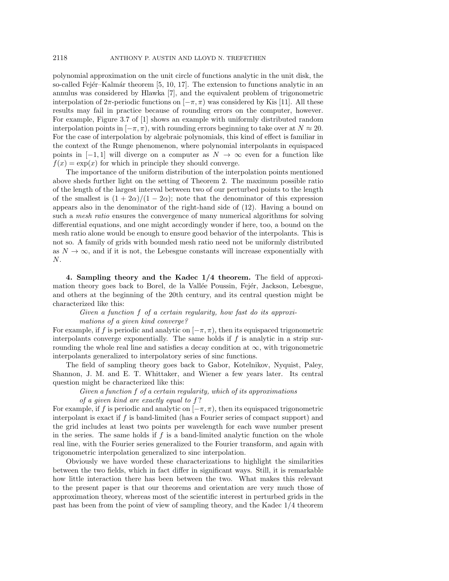polynomial approximation on the unit circle of functions analytic in the unit disk, the so-called Fejér–Kalmár theorem  $[5, 10, 17]$  $[5, 10, 17]$  $[5, 10, 17]$ . The extension to functions analytic in an annulus was considered by Hlawka [\[7\]](#page-8-5), and the equivalent problem of trigonometric interpolation of  $2\pi$ -periodic functions on  $[-\pi,\pi)$  was considered by Kis [\[11\]](#page-9-0). All these results may fail in practice because of rounding errors on the computer, however. For example, Figure 3.7 of [\[1\]](#page-8-0) shows an example with uniformly distributed random interpolation points in  $[-\pi, \pi)$ , with rounding errors beginning to take over at  $N \approx 20$ . For the case of interpolation by algebraic polynomials, this kind of effect is familiar in the context of the Runge phenomenon, where polynomial interpolants in equispaced points in  $[-1, 1]$  will diverge on a computer as  $N \to \infty$  even for a function like  $f(x) = \exp(x)$  for which in principle they should converge.

The importance of the uniform distribution of the interpolation points mentioned above sheds further light on the setting of Theorem [2.](#page-3-0) The maximum possible ratio of the length of the largest interval between two of our perturbed points to the length of the smallest is  $(1 + 2\alpha)/(1 - 2\alpha)$ ; note that the denominator of this expression appears also in the denominator of the right-hand side of [\(12\)](#page-3-1). Having a bound on such a mesh ratio ensures the convergence of many numerical algorithms for solving differential equations, and one might accordingly wonder if here, too, a bound on the mesh ratio alone would be enough to ensure good behavior of the interpolants. This is not so. A family of grids with bounded mesh ratio need not be uniformly distributed as  $N \to \infty$ , and if it is not, the Lebesgue constants will increase exponentially with N.

<span id="page-5-0"></span>4. Sampling theory and the Kadec 1/4 theorem. The field of approximation theory goes back to Borel, de la Vallée Poussin, Fejér, Jackson, Lebesgue, and others at the beginning of the 20th century, and its central question might be characterized like this:

Given a function f of a certain regularity, how fast do its approximations of a given kind converge?

For example, if f is periodic and analytic on  $[-\pi, \pi)$ , then its equispaced trigonometric interpolants converge exponentially. The same holds if  $f$  is analytic in a strip surrounding the whole real line and satisfies a decay condition at  $\infty$ , with trigonometric interpolants generalized to interpolatory series of sinc functions.

The field of sampling theory goes back to Gabor, Kotelnikov, Nyquist, Paley, Shannon, J. M. and E. T. Whittaker, and Wiener a few years later. Its central question might be characterized like this:

## Given a function f of a certain regularity, which of its approximations

of a given kind are exactly equal to f ?

For example, if f is periodic and analytic on  $[-\pi, \pi)$ , then its equispaced trigonometric interpolant is exact if  $f$  is band-limited (has a Fourier series of compact support) and the grid includes at least two points per wavelength for each wave number present in the series. The same holds if  $f$  is a band-limited analytic function on the whole real line, with the Fourier series generalized to the Fourier transform, and again with trigonometric interpolation generalized to sinc interpolation.

Obviously we have worded these characterizations to highlight the similarities between the two fields, which in fact differ in significant ways. Still, it is remarkable how little interaction there has been between the two. What makes this relevant to the present paper is that our theorems and orientation are very much those of approximation theory, whereas most of the scientific interest in perturbed grids in the past has been from the point of view of sampling theory, and the Kadec 1/4 theorem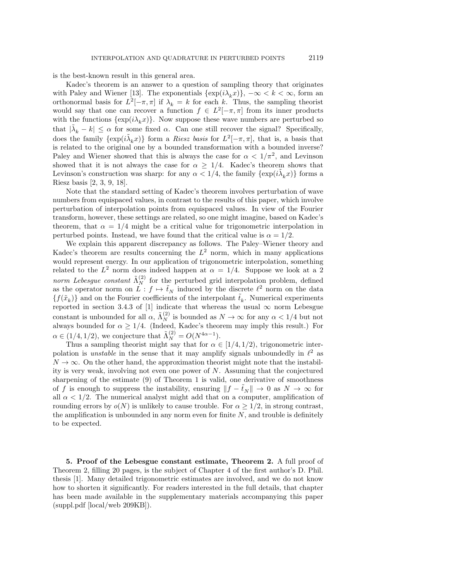is the best-known result in this general area.

Kadec's theorem is an answer to a question of sampling theory that originates with Paley and Wiener [\[13\]](#page-9-7). The exponentials  $\{\exp(i\lambda_k x)\}, -\infty < k < \infty$ , form an orthonormal basis for  $L^2[-\pi,\pi]$  if  $\lambda_k = k$  for each k. Thus, the sampling theorist would say that one can recover a function  $f \in L^2[-\pi,\pi]$  from its inner products with the functions  $\{\exp(i\lambda_kx)\}\$ . Now suppose these wave numbers are perturbed so that  $|\tilde{\lambda}_k - k| \leq \alpha$  for some fixed  $\alpha$ . Can one still recover the signal? Specifically, does the family  $\{\exp(i\tilde{\lambda}_k x)\}\)$  form a *Riesz basis* for  $L^2[-\pi,\pi]$ , that is, a basis that is related to the original one by a bounded transformation with a bounded inverse? Paley and Wiener showed that this is always the case for  $\alpha < 1/\pi^2$ , and Levinson showed that it is not always the case for  $\alpha \geq 1/4$ . Kadec's theorem shows that Levinson's construction was sharp: for any  $\alpha < 1/4$ , the family  $\{\exp(i\tilde{\lambda}_k x)\}\)$  forms a Riesz basis [\[2,](#page-8-6) [3,](#page-8-7) [9,](#page-8-8) [18\]](#page-9-8).

Note that the standard setting of Kadec's theorem involves perturbation of wave numbers from equispaced values, in contrast to the results of this paper, which involve perturbation of interpolation points from equispaced values. In view of the Fourier transform, however, these settings are related, so one might imagine, based on Kadec's theorem, that  $\alpha = 1/4$  might be a critical value for trigonometric interpolation in perturbed points. Instead, we have found that the critical value is  $\alpha = 1/2$ .

We explain this apparent discrepancy as follows. The Paley–Wiener theory and Kadec's theorem are results concerning the  $L^2$  norm, which in many applications would represent energy. In our application of trigonometric interpolation, something related to the  $L^2$  norm does indeed happen at  $\alpha = 1/4$ . Suppose we look at a 2 norm Lebesgue constant  $\tilde{\Lambda}_N^{(2)}$  for the perturbed grid interpolation problem, defined as the operator norm on  $\tilde{L}: f \mapsto \tilde{t}_N$  induced by the discrete  $\ell^2$  norm on the data  $\{f(\tilde{x}_k)\}\)$  and on the Fourier coefficients of the interpolant  $\tilde{t}_k$ . Numerical experiments reported in section 3.4.3 of [\[1\]](#page-8-0) indicate that whereas the usual  $\infty$  norm Lebesgue constant is unbounded for all  $\alpha$ ,  $\tilde{\Lambda}_N^{(2)}$  is bounded as  $N \to \infty$  for any  $\alpha < 1/4$  but not always bounded for  $\alpha \geq 1/4$ . (Indeed, Kadec's theorem may imply this result.) For  $\alpha \in (1/4, 1/2)$ , we conjecture that  $\tilde{\Lambda}_N^{(2)} = O(N^{4\alpha - 1})$ .

Thus a sampling theorist might say that for  $\alpha \in [1/4, 1/2)$ , trigonometric interpolation is *unstable* in the sense that it may amplify signals unboundedly in  $\ell^2$  as  $N \to \infty$ . On the other hand, the approximation theorist might note that the instability is very weak, involving not even one power of  $N$ . Assuming that the conjectured sharpening of the estimate [\(9\)](#page-2-0) of Theorem [1](#page-1-1) is valid, one derivative of smoothness of f is enough to suppress the instability, ensuring  $||f - \tilde{t}_N|| \to 0$  as  $N \to \infty$  for all  $\alpha < 1/2$ . The numerical analyst might add that on a computer, amplification of rounding errors by  $o(N)$  is unlikely to cause trouble. For  $\alpha \geq 1/2$ , in strong contrast, the amplification is unbounded in any norm even for finite  $N$ , and trouble is definitely to be expected.

<span id="page-6-0"></span>5. Proof of the Lebesgue constant estimate, Theorem [2.](#page-3-0) A full proof of Theorem [2,](#page-3-0) filling 20 pages, is the subject of Chapter 4 of the first author's D. Phil. thesis [\[1\]](#page-8-0). Many detailed trigonometric estimates are involved, and we do not know how to shorten it significantly. For readers interested in the full details, that chapter has been made available in the supplementary materials accompanying this paper (suppl.pdf [\[local/](#page-0-1)[web](http://epubs.siam.org/doi/suppl/10.1137/16M1107760/suppl_file/suppl.pdf) 209KB]).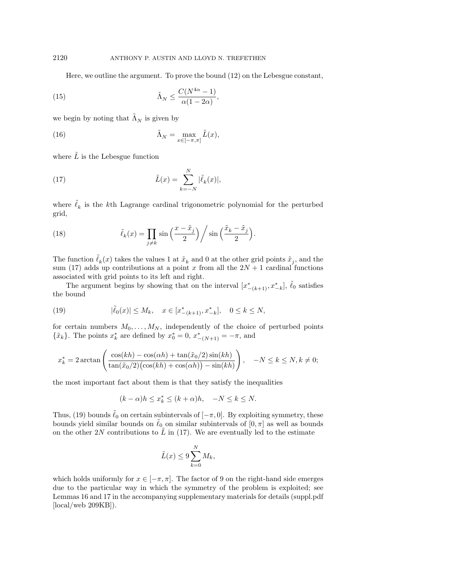<span id="page-7-2"></span>Here, we outline the argument. To prove the bound [\(12\)](#page-3-1) on the Lebesgue constant,

(15) 
$$
\tilde{\Lambda}_N \leq \frac{C(N^{4\alpha} - 1)}{\alpha(1 - 2\alpha)},
$$

we begin by noting that  $\tilde{\Lambda}_N$  is given by

(16) 
$$
\tilde{\Lambda}_N = \max_{x \in [-\pi,\pi]} \tilde{L}(x),
$$

where  $\tilde{L}$  is the Lebesgue function

<span id="page-7-0"></span>(17) 
$$
\tilde{L}(x) = \sum_{k=-N}^{N} |\tilde{\ell}_{k}(x)|,
$$

where  $\tilde{\ell}_k$  is the k<sup>th</sup> Lagrange cardinal trigonometric polynomial for the perturbed grid,

(18) 
$$
\tilde{\ell}_k(x) = \prod_{j \neq k} \sin\left(\frac{x - \tilde{x}_j}{2}\right) / \sin\left(\frac{\tilde{x}_k - \tilde{x}_j}{2}\right).
$$

The function  $\tilde{\ell}_k(x)$  takes the values 1 at  $\tilde{x}_k$  and 0 at the other grid points  $\tilde{x}_j$ , and the sum [\(17\)](#page-7-0) adds up contributions at a point x from all the  $2N + 1$  cardinal functions associated with grid points to its left and right.

The argument begins by showing that on the interval  $[x^*_{-(k+1)}, x^*_{-k}], \tilde{\ell}_0$  satisfies the bound

<span id="page-7-1"></span>(19) 
$$
|\tilde{\ell}_0(x)| \le M_k, \quad x \in [x_{-(k+1)}^*, x_{-k}^*], \quad 0 \le k \le N,
$$

for certain numbers  $M_0, \ldots, M_N$ , independently of the choice of perturbed points  $\{\tilde{x}_k\}.$  The points  $x_k^*$  are defined by  $x_0^* = 0, x_{-(N+1)}^* = -\pi$ , and

$$
x_k^* = 2\arctan\left(\frac{\cos(kh) - \cos(\alpha h) + \tan(\tilde{x}_0/2)\sin(kh)}{\tan(\tilde{x}_0/2)(\cos(kh) + \cos(\alpha h)) - \sin(kh)}\right), \quad -N \le k \le N, k \ne 0;
$$

the most important fact about them is that they satisfy the inequalities

$$
(k-\alpha)h\leq x_k^*\leq (k+\alpha)h,\quad -N\leq k\leq N.
$$

Thus, [\(19\)](#page-7-1) bounds  $\ell_0$  on certain subintervals of  $[-\pi, 0]$ . By exploiting symmetry, these bounds yield similar bounds on  $\tilde{\ell}_0$  on similar subintervals of  $[0, \pi]$  as well as bounds on the other 2N contributions to  $\tilde{L}$  in [\(17\)](#page-7-0). We are eventually led to the estimate

$$
\tilde{L}(x) \le 9 \sum_{k=0}^{N} M_k,
$$

which holds uniformly for  $x \in [-\pi, \pi]$ . The factor of 9 on the right-hand side emerges due to the particular way in which the symmetry of the problem is exploited; see Lemmas 16 and 17 in the accompanying supplementary materials for details (suppl.pdf [\[local/](#page-0-1)[web](http://epubs.siam.org/doi/suppl/10.1137/16M1107760/suppl_file/suppl.pdf) 209KB]).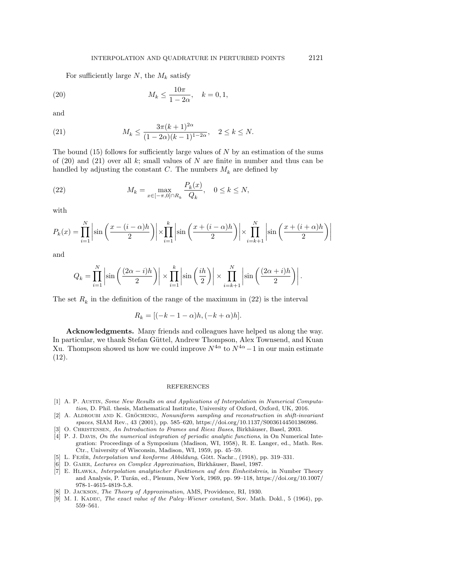<span id="page-8-9"></span>For sufficiently large  $N$ , the  $M_k$  satisfy

(20) 
$$
M_k \le \frac{10\pi}{1 - 2\alpha}, \quad k = 0, 1,
$$

and

<span id="page-8-10"></span>(21) 
$$
M_k \le \frac{3\pi (k+1)^{2\alpha}}{(1-2\alpha)(k-1)^{1-2\alpha}}, \quad 2 \le k \le N.
$$

The bound  $(15)$  follows for sufficiently large values of N by an estimation of the sums of  $(20)$  and  $(21)$  over all k; small values of N are finite in number and thus can be handled by adjusting the constant C. The numbers  $M_k$  are defined by

<span id="page-8-11"></span>(22) 
$$
M_k = \max_{x \in [-\pi, 0] \cap R_k} \frac{P_k(x)}{Q_k}, \quad 0 \le k \le N,
$$

with

$$
P_k(x) = \prod_{i=1}^N \left| \sin\left(\frac{x - (i - \alpha)h}{2}\right) \right| \times \prod_{i=1}^k \left| \sin\left(\frac{x + (i - \alpha)h}{2}\right) \right| \times \prod_{i=k+1}^N \left| \sin\left(\frac{x + (i + \alpha)h}{2}\right) \right|
$$

and

$$
Q_k = \prod_{i=1}^N \left| \sin\left(\frac{(2\alpha - i)h}{2}\right) \right| \times \prod_{i=1}^k \left| \sin\left(\frac{ih}{2}\right) \right| \times \prod_{i=k+1}^N \left| \sin\left(\frac{(2\alpha + i)h}{2}\right) \right|.
$$

The set  $R_k$  in the definition of the range of the maximum in [\(22\)](#page-8-11) is the interval

$$
R_k = [(-k-1-\alpha)h, (-k+\alpha)h].
$$

Acknowledgments. Many friends and colleagues have helped us along the way. In particular, we thank Stefan Güttel, Andrew Thompson, Alex Townsend, and Kuan Xu. Thompson showed us how we could improve  $N^{4\alpha}$  to  $N^{4\alpha}-1$  in our main estimate [\(12\)](#page-3-1).

## REFERENCES

- <span id="page-8-0"></span>[1] A. P. Austin, Some New Results on and Applications of Interpolation in Numerical Computation, D. Phil. thesis, Mathematical Institute, University of Oxford, Oxford, UK, 2016.
- <span id="page-8-6"></span>[2] A. ALDROUBI AND K. GRÖCHENIG, Nonuniform sampling and reconstruction in shift-invariant spaces, SIAM Rev., 43 (2001), pp. 585–620, [https://doi.org/10.1137/S0036144501386986.](https://doi.org/10.1137/S0036144501386986)
- <span id="page-8-7"></span>[3] O. CHRISTENSEN, An Introduction to Frames and Riesz Bases, Birkhäuser, Basel, 2003.
- <span id="page-8-1"></span>[4] P. J. Davis, On the numerical integration of periodic analytic functions, in On Numerical Integration: Proceedings of a Symposium (Madison, WI, 1958), R. E. Langer, ed., Math. Res. Ctr., University of Wisconsin, Madison, WI, 1959, pp. 45–59.
- <span id="page-8-3"></span>[5] L. FEJÉR, Interpolation und konforme Abbildung, Gött. Nachr., (1918), pp. 319–331.
- <span id="page-8-4"></span>[6] D. GAIER, Lectures on Complex Approximation, Birkhäuser, Basel, 1987.
- <span id="page-8-5"></span>[7] E. Hlawka, Interpolation analytischer Funktionen auf dem Einheitskreis, in Number Theory and Analysis, P. Tur´an, ed., Plenum, New York, 1969, pp. 99–118, [https://doi.org/10.1007/](https://doi.org/10.1007/978-1-4615-4819-5_8) [978-1-4615-4819-5](https://doi.org/10.1007/978-1-4615-4819-5_8) 8.
- <span id="page-8-2"></span>[8] D. Jackson, The Theory of Approximation, AMS, Providence, RI, 1930.
- <span id="page-8-8"></span>[9] M. I. KADEC, The exact value of the Paley–Wiener constant, Sov. Math. Dokl., 5 (1964), pp. 559–561.